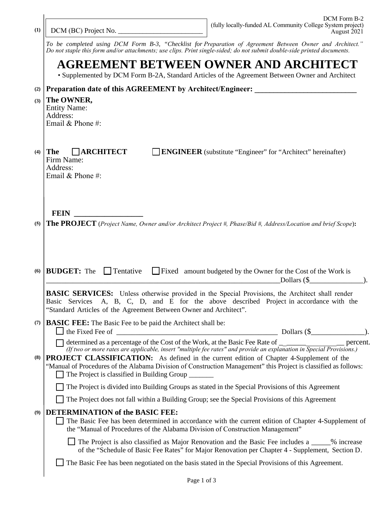| (1) | DCM Form B-2<br>(fully locally-funded AL Community College System project)<br>DCM (BC) Project No.<br>August 2021                                                                                                                                                                                                                                                                                                                                                                                                     |  |  |  |
|-----|-----------------------------------------------------------------------------------------------------------------------------------------------------------------------------------------------------------------------------------------------------------------------------------------------------------------------------------------------------------------------------------------------------------------------------------------------------------------------------------------------------------------------|--|--|--|
|     | To be completed using DCM Form B-3, "Checklist for Preparation of Agreement Between Owner and Architect."<br>Do not staple this form and/or attachments; use clips. Print single-sided; do not submit double-side printed documents.                                                                                                                                                                                                                                                                                  |  |  |  |
|     | <b>AGREEMENT BETWEEN OWNER AND ARCHITECT</b><br>• Supplemented by DCM Form B-2A, Standard Articles of the Agreement Between Owner and Architect                                                                                                                                                                                                                                                                                                                                                                       |  |  |  |
| (2) | Preparation date of this AGREEMENT by Architect/Engineer: _______________________                                                                                                                                                                                                                                                                                                                                                                                                                                     |  |  |  |
| (3) | The OWNER,<br><b>Entity Name:</b><br>Address:<br>Email & Phone #:                                                                                                                                                                                                                                                                                                                                                                                                                                                     |  |  |  |
| (4) | $\Box$ ARCHITECT<br><b>The</b><br><b>ENGINEER</b> (substitute "Engineer" for "Architect" hereinafter)<br>Firm Name:<br>Address:<br>Email & Phone #:                                                                                                                                                                                                                                                                                                                                                                   |  |  |  |
| (5) | <b>FEIN</b><br><u> 1980 - Jan Barat, prima prima prima prima prima prima prima prima prima prima prima prima prima prima prima p</u><br><b>The PROJECT</b> (Project Name, Owner and/or Architect Project #, Phase/Bid #, Address/Location and brief Scope):                                                                                                                                                                                                                                                           |  |  |  |
| (6) | <b>BUDGET:</b> The $\Box$ Tentative<br>□ Fixed amount budgeted by the Owner for the Cost of the Work is<br>Dollars $(\$                                                                                                                                                                                                                                                                                                                                                                                               |  |  |  |
|     | <b>BASIC SERVICES:</b> Unless otherwise provided in the Special Provisions, the Architect shall render<br>Basic Services A, B, C, D, and E for the above described Project in accordance with the<br>"Standard Articles of the Agreement Between Owner and Architect".                                                                                                                                                                                                                                                |  |  |  |
|     | (7) <b>BASIC FEE:</b> The Basic Fee to be paid the Architect shall be:                                                                                                                                                                                                                                                                                                                                                                                                                                                |  |  |  |
|     |                                                                                                                                                                                                                                                                                                                                                                                                                                                                                                                       |  |  |  |
| (8) | determined as a percentage of the Cost of the Work, at the Basic Fee Rate of $\frac{1}{\sqrt{1 - \frac{1}{n}}}\$ percent.<br>(If two or more rates are applicable, insert "multiple fee rates" and provide an explanation in Special Provisions<br><b>PROJECT CLASSIFICATION:</b> As defined in the current edition of Chapter 4-Supplement of the<br>"Manual of Procedures of the Alabama Division of Construction Management" this Project is classified as follows:<br>The Project is classified in Building Group |  |  |  |
|     | The Project is divided into Building Groups as stated in the Special Provisions of this Agreement                                                                                                                                                                                                                                                                                                                                                                                                                     |  |  |  |
|     | The Project does not fall within a Building Group; see the Special Provisions of this Agreement                                                                                                                                                                                                                                                                                                                                                                                                                       |  |  |  |
| (9) | <b>DETERMINATION of the BASIC FEE:</b><br>The Basic Fee has been determined in accordance with the current edition of Chapter 4-Supplement of<br>the "Manual of Procedures of the Alabama Division of Construction Management"                                                                                                                                                                                                                                                                                        |  |  |  |
|     | The Project is also classified as Major Renovation and the Basic Fee includes a _____% increase<br>of the "Schedule of Basic Fee Rates" for Major Renovation per Chapter 4 - Supplement, Section D.                                                                                                                                                                                                                                                                                                                   |  |  |  |
|     | The Basic Fee has been negotiated on the basis stated in the Special Provisions of this Agreement.                                                                                                                                                                                                                                                                                                                                                                                                                    |  |  |  |
|     |                                                                                                                                                                                                                                                                                                                                                                                                                                                                                                                       |  |  |  |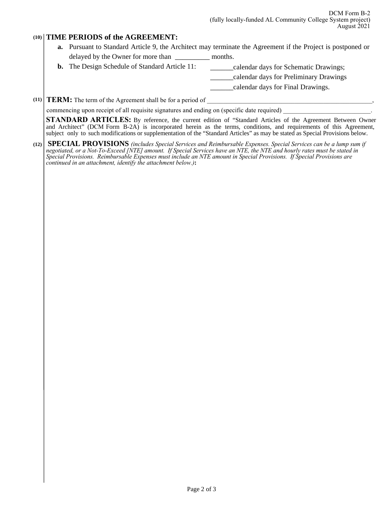## **(10) TIME PERIODS of the AGREEMENT:**

- **a.** Pursuant to Standard Article 9, the Architect may terminate the Agreement if the Project is postponed or delayed by the Owner for more than \_\_\_\_\_\_\_\_\_ months.
- **b.** The Design Schedule of Standard Article 11: \_\_\_\_\_\_\_calendar days for Schematic Drawings;

\_\_\_\_\_\_calendar days for Preliminary Drawings

\_\_\_\_\_\_calendar days for Final Drawings.

 $(11)$  **TERM:** The term of the Agreement shall be for a period of  $\overline{\phantom{a}}$ 

commencing upon receipt of all requisite signatures and ending on (specific date required) \_

**STANDARD ARTICLES:** By reference, the current edition of "Standard Articles of the Agreement Between Owner and Architect" (DCM Form B-2A) is incorporated herein as the terms, conditions, and requirements of this Agreement, subject only to such modifications or supplementation of the "Standard Articles" as may be stated as Special Provisions below.

**(12) SPECIAL PROVISIONS** *(includes Special Services and Reimbursable Expenses. Special Services can be a lump sum if negotiated, or a Not-To-Exceed [NTE] amount. If Special Services have an NTE, the NTE and hourly rates must be stated in Special Provisions. Reimbursable Expenses must include an NTE amount in Special Provisions. If Special Provisions are continued in an attachment, identify the attachment below.)***:**